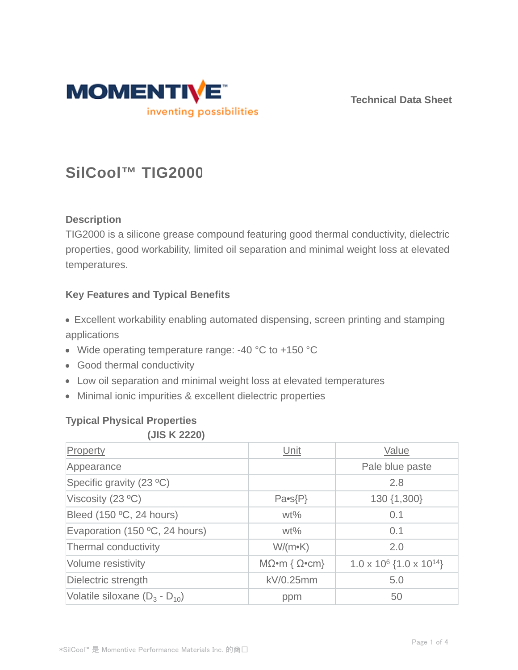

**Technical Data Sheet**

# **SilCool™ TIG2000**

## **Description**

TIG2000 is a silicone grease compound featuring good thermal conductivity, dielectric properties, good workability, limited oil separation and minimal weight loss at elevated temperatures.

## **Key Features and Typical Benefits**

- Excellent workability enabling automated dispensing, screen printing and stamping applications
- Wide operating temperature range: -40 °C to +150 °C
- Good thermal conductivity
- Low oil separation and minimal weight loss at elevated temperatures
- Minimal ionic impurities & excellent dielectric properties

# **Typical Physical Properties**

#### **(JIS K 2220)**

| Property                           | Unit                         | Value                                       |  |
|------------------------------------|------------------------------|---------------------------------------------|--|
| Appearance                         |                              | Pale blue paste                             |  |
| Specific gravity (23 °C)           |                              | 2.8                                         |  |
| Viscosity (23 °C)                  | $Pa-S(P)$                    | 130 {1,300}                                 |  |
| Bleed (150 °C, 24 hours)           | $wt\%$                       | 0.1                                         |  |
| Evaporation (150 °C, 24 hours)     | $wt\%$                       | 0.1                                         |  |
| Thermal conductivity               | $W/(m\nu K)$                 | 2.0                                         |  |
| Volume resistivity                 | $M\Omega$ •m { $\Omega$ •cm} | $1.0 \times 10^6$ {1.0 x 10 <sup>14</sup> } |  |
| Dielectric strength                | kV/0.25mm                    | 5.0                                         |  |
| Volatile siloxane $(D_3 - D_{10})$ | ppm                          | 50                                          |  |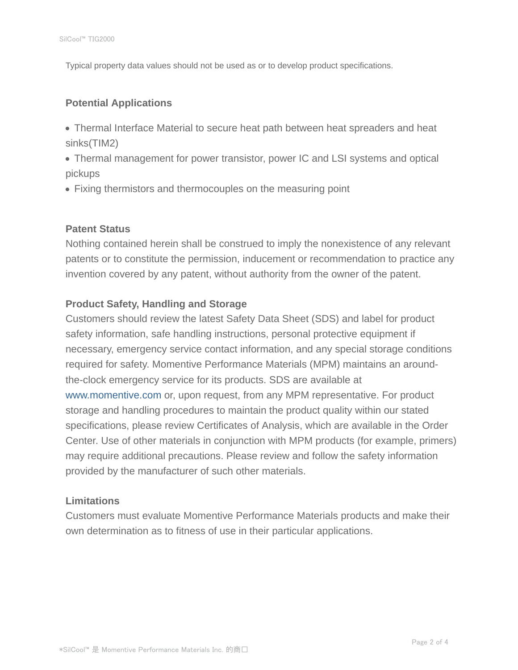Typical property data values should not be used as or to develop product specifications.

#### **Potential Applications**

- Thermal Interface Material to secure heat path between heat spreaders and heat sinks(TIM2)
- Thermal management for power transistor, power IC and LSI systems and optical pickups
- Fixing thermistors and thermocouples on the measuring point

#### **Patent Status**

Nothing contained herein shall be construed to imply the nonexistence of any relevant patents or to constitute the permission, inducement or recommendation to practice any invention covered by any patent, without authority from the owner of the patent.

#### **Product Safety, Handling and Storage**

Customers should review the latest Safety Data Sheet (SDS) and label for product safety information, safe handling instructions, personal protective equipment if necessary, emergency service contact information, and any special storage conditions required for safety. Momentive Performance Materials (MPM) maintains an aroundthe-clock emergency service for its products. SDS are available at www.momentive.com or, upon request, from any MPM representative. For product storage and handling procedures to maintain the product quality within our stated specifications, please review Certificates of Analysis, which are available in the Order Center. Use of other materials in conjunction with MPM products (for example, primers) may require additional precautions. Please review and follow the safety information provided by the manufacturer of such other materials.

#### **Limitations**

Customers must evaluate Momentive Performance Materials products and make their own determination as to fitness of use in their particular applications.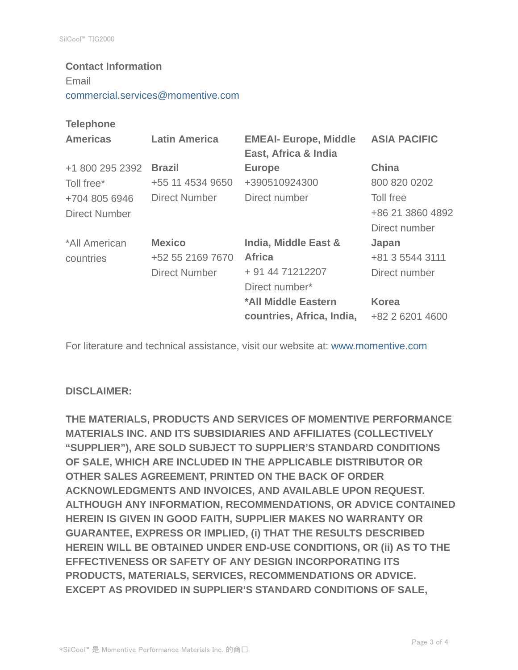# **Contact Information** Email commercial.services@momentive.com

#### **Telephone**

| <b>Americas</b>      | <b>Latin America</b> | <b>EMEAI- Europe, Middle</b><br>East, Africa & India | <b>ASIA PACIFIC</b> |
|----------------------|----------------------|------------------------------------------------------|---------------------|
| +1 800 295 2392      | <b>Brazil</b>        | <b>Europe</b>                                        | China               |
| Toll free*           | +55 11 4534 9650     | +390510924300                                        | 800 820 0202        |
| +704 805 6946        | <b>Direct Number</b> | Direct number                                        | Toll free           |
| <b>Direct Number</b> |                      |                                                      | +86 21 3860 4892    |
|                      |                      |                                                      | Direct number       |
| *All American        | <b>Mexico</b>        | India, Middle East &                                 | Japan               |
| countries            | +52 55 2169 7670     | <b>Africa</b>                                        | +81 3 5544 3111     |
|                      | <b>Direct Number</b> | + 91 44 71212207                                     | Direct number       |
|                      |                      | Direct number*                                       |                     |
|                      |                      | *All Middle Eastern                                  | <b>Korea</b>        |
|                      |                      | countries, Africa, India,                            | +82 2 6201 4600     |

For literature and technical assistance, visit our website at: www.momentive.com

#### **DISCLAIMER:**

**THE MATERIALS, PRODUCTS AND SERVICES OF MOMENTIVE PERFORMANCE MATERIALS INC. AND ITS SUBSIDIARIES AND AFFILIATES (COLLECTIVELY "SUPPLIER"), ARE SOLD SUBJECT TO SUPPLIER'S STANDARD CONDITIONS OF SALE, WHICH ARE INCLUDED IN THE APPLICABLE DISTRIBUTOR OR OTHER SALES AGREEMENT, PRINTED ON THE BACK OF ORDER ACKNOWLEDGMENTS AND INVOICES, AND AVAILABLE UPON REQUEST. ALTHOUGH ANY INFORMATION, RECOMMENDATIONS, OR ADVICE CONTAINED HEREIN IS GIVEN IN GOOD FAITH, SUPPLIER MAKES NO WARRANTY OR GUARANTEE, EXPRESS OR IMPLIED, (i) THAT THE RESULTS DESCRIBED HEREIN WILL BE OBTAINED UNDER END-USE CONDITIONS, OR (ii) AS TO THE EFFECTIVENESS OR SAFETY OF ANY DESIGN INCORPORATING ITS PRODUCTS, MATERIALS, SERVICES, RECOMMENDATIONS OR ADVICE. EXCEPT AS PROVIDED IN SUPPLIER'S STANDARD CONDITIONS OF SALE,**